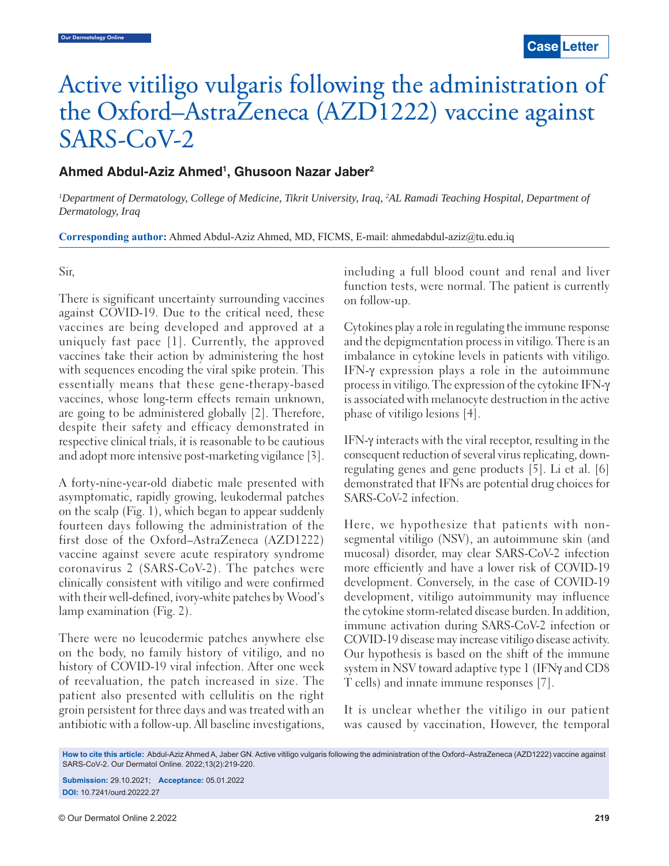# Active vitiligo vulgaris following the administration of the Oxford–AstraZeneca (AZD1222) vaccine against he Oxford–AstraZeneca (AZD1222) vaccine against SARS-CoV-2

## **Ahmed Abdul-Aziz Ahmed1 , Ghusoon Nazar Jaber2**

*1 Department of Dermatology, College of Medicine, Tikrit University, Iraq, 2 AL Ramadi Teaching Hospital, Department of Dermatology, Iraq*

**Corresponding author:** Ahmed Abdul-Aziz Ahmed, MD, FICMS, E-mail: ahmedabdul-aziz@tu.edu.iq

#### Sir,

There is significant uncertainty surrounding vaccines against COVID-19. Due to the critical need, these vaccines are being developed and approved at a uniquely fast pace [1]. Currently, the approved vaccines take their action by administering the host with sequences encoding the viral spike protein. This essentially means that these gene-therapy-based vaccines, whose long-term effects remain unknown, are going to be administered globally [2]. Therefore, despite their safety and efficacy demonstrated in respective clinical trials, it is reasonable to be cautious and adopt more intensive post-marketing vigilance [3].

A forty-nine-year-old diabetic male presented with asymptomatic, rapidly growing, leukodermal patches on the scalp (Fig. 1), which began to appear suddenly fourteen days following the administration of the first dose of the Oxford–AstraZeneca (AZD1222) vaccine against severe acute respiratory syndrome coronavirus 2 (SARS-CoV-2). The patches were clinically consistent with vitiligo and were confirmed with their well-defined, ivory-white patches by Wood's lamp examination (Fig. 2).

There were no leucodermic patches anywhere else on the body, no family history of vitiligo, and no history of COVID-19 viral infection. After one week of reevaluation, the patch increased in size. The patient also presented with cellulitis on the right groin persistent for three days and was treated with an antibiotic with a follow-up. All baseline investigations, including a full blood count and renal and liver function tests, were normal. The patient is currently on follow-up.

Cytokines play a role in regulating the immune response and the depigmentation process in vitiligo. There is an imbalance in cytokine levels in patients with vitiligo. IFN-γ expression plays a role in the autoimmune process in vitiligo. The expression of the cytokine IFN-γ is associated with melanocyte destruction in the active phase of vitiligo lesions [4].

IFN-γ interacts with the viral receptor, resulting in the consequent reduction of several virus replicating, downregulating genes and gene products [5]. Li et al. [6] demonstrated that IFNs are potential drug choices for SARS-CoV-2 infection.

Here, we hypothesize that patients with nonsegmental vitiligo (NSV), an autoimmune skin (and mucosal) disorder, may clear SARS-CoV-2 infection more efficiently and have a lower risk of COVID-19 development. Conversely, in the case of COVID-19 development, vitiligo autoimmunity may influence the cytokine storm-related disease burden. In addition, immune activation during SARS-CoV-2 infection or COVID-19 disease may increase vitiligo disease activity. Our hypothesis is based on the shift of the immune system in NSV toward adaptive type 1 (IFNγ and CD8 T cells) and innate immune responses [7].

It is unclear whether the vitiligo in our patient was caused by vaccination, However, the temporal

**How to cite this article:** Abdul-Aziz Ahmed A, Jaber GN. Active vitiligo vulgaris following the administration of the Oxford–AstraZeneca (AZD1222) vaccine against SARS-CoV-2. Our Dermatol Online. 2022;13(2):219-220.

**Submission:** 29.10.2021; **Acceptance:** 05.01.2022 **DOI:** 10.7241/ourd.20222.27